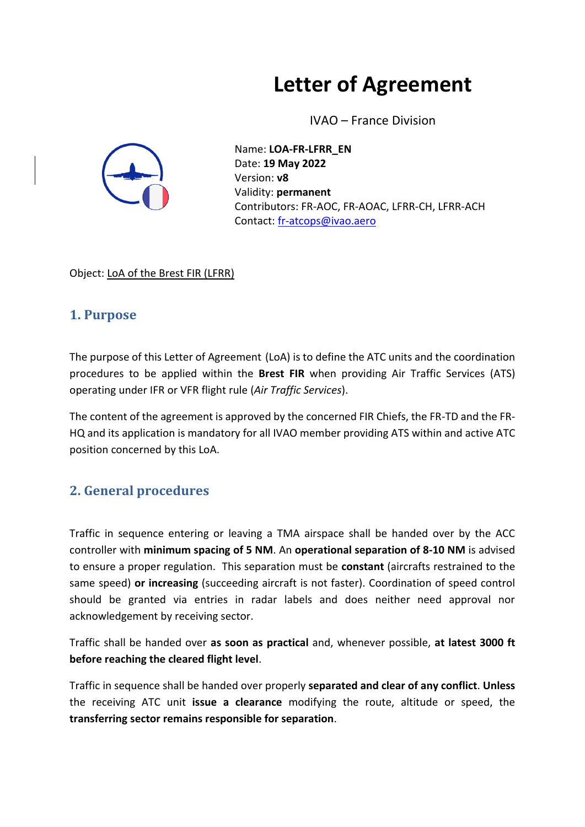# **Letter of Agreement**

IVAO – France Division



Name: **LOA-FR-LFRR\_EN** Date: **19 May 2022** Version: **v8** Validity: **permanent** Contributors: FR-AOC, FR-AOAC, LFRR-CH, LFRR-ACH Contact: [fr-atcops@ivao.aero](mailto:fr-atcops@ivao.aero)

Object: LoA of the Brest FIR (LFRR)

## **1. Purpose**

The purpose of this Letter of Agreement (LoA) is to define the ATC units and the coordination procedures to be applied within the **Brest FIR** when providing Air Traffic Services (ATS) operating under IFR or VFR flight rule (*Air Traffic Services*).

The content of the agreement is approved by the concerned FIR Chiefs, the FR-TD and the FR-HQ and its application is mandatory for all IVAO member providing ATS within and active ATC position concerned by this LoA.

## **2. General procedures**

Traffic in sequence entering or leaving a TMA airspace shall be handed over by the ACC controller with **minimum spacing of 5 NM**. An **operational separation of 8-10 NM** is advised to ensure a proper regulation. This separation must be **constant** (aircrafts restrained to the same speed) **or increasing** (succeeding aircraft is not faster). Coordination of speed control should be granted via entries in radar labels and does neither need approval nor acknowledgement by receiving sector.

Traffic shall be handed over **as soon as practical** and, whenever possible, **at latest 3000 ft before reaching the cleared flight level**.

Traffic in sequence shall be handed over properly **separated and clear of any conflict**. **Unless**  the receiving ATC unit **issue a clearance** modifying the route, altitude or speed, the **transferring sector remains responsible for separation**.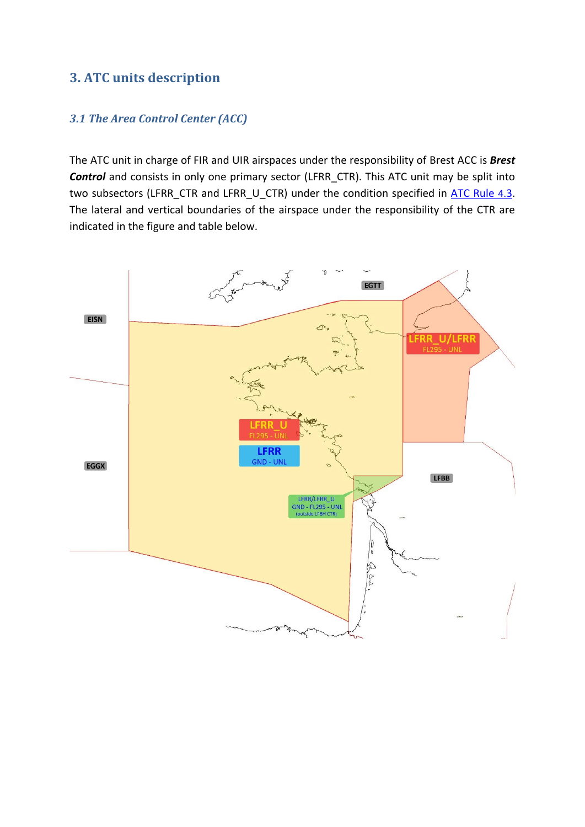## **3. ATC units description**

#### *3.1 The Area Control Center (ACC)*

The ATC unit in charge of FIR and UIR airspaces under the responsibility of Brest ACC is *Brest* **Control** and consists in only one primary sector (LFRR\_CTR). This ATC unit may be split into two subsectors (LFRR\_CTR and LFRR\_U\_CTR) under the condition specified in [ATC Rule](https://www.ivao.fr/en/pages/atc/rules#sector_h1_3) 4.3. The lateral and vertical boundaries of the airspace under the responsibility of the CTR are indicated in the figure and table below.

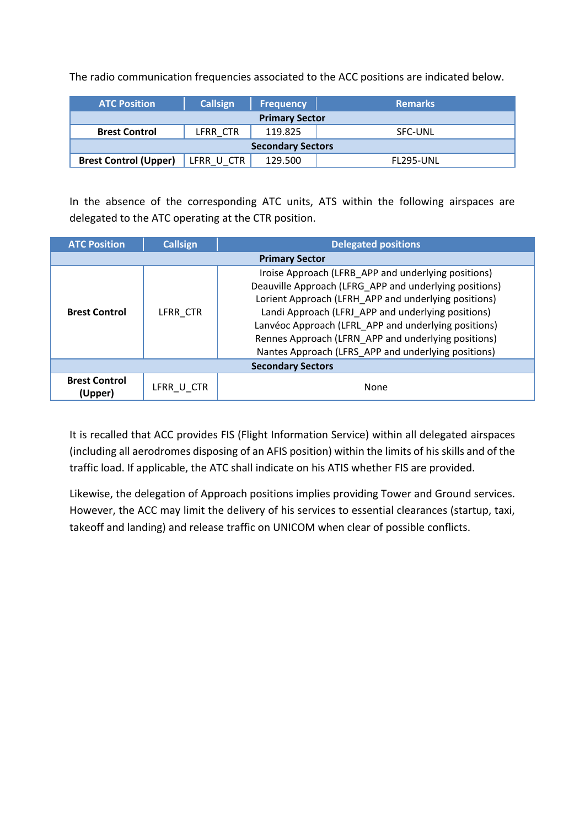The radio communication frequencies associated to the ACC positions are indicated below.

| <b>ATC Position</b>          | <b>Callsign</b> | <b>Frequency</b> | <b>Remarks</b>   |  |  |  |  |  |
|------------------------------|-----------------|------------------|------------------|--|--|--|--|--|
| <b>Primary Sector</b>        |                 |                  |                  |  |  |  |  |  |
| <b>Brest Control</b>         | LFRR CTR        | 119.825          | <b>SFC-UNL</b>   |  |  |  |  |  |
| <b>Secondary Sectors</b>     |                 |                  |                  |  |  |  |  |  |
| <b>Brest Control (Upper)</b> | LFRR U CTR      | 129.500          | <b>FL295-UNL</b> |  |  |  |  |  |

In the absence of the corresponding ATC units, ATS within the following airspaces are delegated to the ATC operating at the CTR position.

| <b>ATC Position</b>             | <b>Callsign</b> | <b>Delegated positions</b>                                                                                                                                                                                                                                                                                                                                                                        |  |  |  |  |
|---------------------------------|-----------------|---------------------------------------------------------------------------------------------------------------------------------------------------------------------------------------------------------------------------------------------------------------------------------------------------------------------------------------------------------------------------------------------------|--|--|--|--|
| <b>Primary Sector</b>           |                 |                                                                                                                                                                                                                                                                                                                                                                                                   |  |  |  |  |
| <b>Brest Control</b>            | LFRR CTR        | Iroise Approach (LFRB_APP and underlying positions)<br>Deauville Approach (LFRG_APP and underlying positions)<br>Lorient Approach (LFRH APP and underlying positions)<br>Landi Approach (LFRJ APP and underlying positions)<br>Lanvéoc Approach (LFRL APP and underlying positions)<br>Rennes Approach (LFRN APP and underlying positions)<br>Nantes Approach (LFRS APP and underlying positions) |  |  |  |  |
| <b>Secondary Sectors</b>        |                 |                                                                                                                                                                                                                                                                                                                                                                                                   |  |  |  |  |
| <b>Brest Control</b><br>(Upper) | LFRR U CTR      | None                                                                                                                                                                                                                                                                                                                                                                                              |  |  |  |  |

It is recalled that ACC provides FIS (Flight Information Service) within all delegated airspaces (including all aerodromes disposing of an AFIS position) within the limits of his skills and of the traffic load. If applicable, the ATC shall indicate on his ATIS whether FIS are provided.

Likewise, the delegation of Approach positions implies providing Tower and Ground services. However, the ACC may limit the delivery of his services to essential clearances (startup, taxi, takeoff and landing) and release traffic on UNICOM when clear of possible conflicts.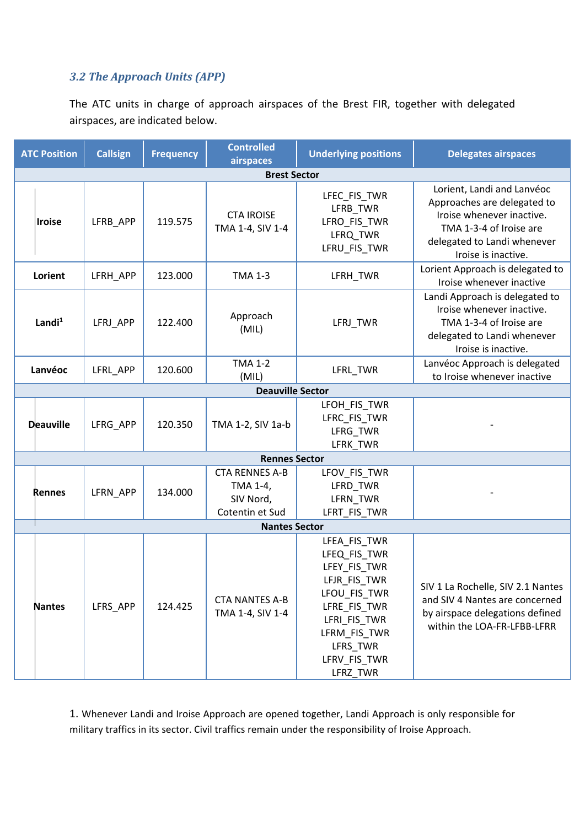#### *3.2 The Approach Units (APP)*

The ATC units in charge of approach airspaces of the Brest FIR, together with delegated airspaces, are indicated below.

| <b>ATC Position</b> | <b>Callsign</b> | <b>Frequency</b> | <b>Controlled</b><br>airspaces                                    | <b>Underlying positions</b>                                                                                                                                          | <b>Delegates airspaces</b>                                                                                                                                              |  |  |  |  |
|---------------------|-----------------|------------------|-------------------------------------------------------------------|----------------------------------------------------------------------------------------------------------------------------------------------------------------------|-------------------------------------------------------------------------------------------------------------------------------------------------------------------------|--|--|--|--|
| <b>Brest Sector</b> |                 |                  |                                                                   |                                                                                                                                                                      |                                                                                                                                                                         |  |  |  |  |
| <b>Iroise</b>       | LFRB_APP        | 119.575          | <b>CTA IROISE</b><br>TMA 1-4, SIV 1-4                             | LFEC_FIS_TWR<br>LFRB_TWR<br>LFRO_FIS_TWR<br>LFRQ_TWR<br>LFRU_FIS_TWR                                                                                                 | Lorient, Landi and Lanvéoc<br>Approaches are delegated to<br>Iroise whenever inactive.<br>TMA 1-3-4 of Iroise are<br>delegated to Landi whenever<br>Iroise is inactive. |  |  |  |  |
| Lorient             | LFRH_APP        | 123.000          | <b>TMA 1-3</b>                                                    | LFRH_TWR                                                                                                                                                             | Lorient Approach is delegated to<br>Iroise whenever inactive                                                                                                            |  |  |  |  |
| Landi $1$           | LFRJ APP        | 122.400          | Approach<br>(MIL)                                                 | LFRJ_TWR                                                                                                                                                             | Landi Approach is delegated to<br>Iroise whenever inactive.<br>TMA 1-3-4 of Iroise are<br>delegated to Landi whenever<br>Iroise is inactive.                            |  |  |  |  |
| Lanvéoc             | LFRL_APP        | 120.600          | <b>TMA 1-2</b><br>(MIL)                                           | LFRL_TWR                                                                                                                                                             | Lanvéoc Approach is delegated<br>to Iroise whenever inactive                                                                                                            |  |  |  |  |
|                     |                 |                  | <b>Deauville Sector</b>                                           |                                                                                                                                                                      |                                                                                                                                                                         |  |  |  |  |
| <b>Deauville</b>    | LFRG_APP        | 120.350          | TMA 1-2, SIV 1a-b                                                 | LFOH_FIS_TWR<br>LFRC_FIS_TWR<br>LFRG_TWR<br>LFRK_TWR                                                                                                                 |                                                                                                                                                                         |  |  |  |  |
|                     |                 |                  | <b>Rennes Sector</b>                                              |                                                                                                                                                                      |                                                                                                                                                                         |  |  |  |  |
| <b>Rennes</b>       | LFRN_APP        | 134.000          | <b>CTA RENNES A-B</b><br>TMA 1-4,<br>SIV Nord,<br>Cotentin et Sud | LFOV_FIS_TWR<br>LFRD_TWR<br>LFRN_TWR<br>LFRT_FIS_TWR                                                                                                                 |                                                                                                                                                                         |  |  |  |  |
|                     |                 |                  | <b>Nantes Sector</b>                                              |                                                                                                                                                                      |                                                                                                                                                                         |  |  |  |  |
| <b>Nantes</b>       | LFRS_APP        | 124.425          | <b>CTA NANTES A-B</b><br>TMA 1-4, SIV 1-4                         | LFEA_FIS_TWR<br>LFEQ_FIS_TWR<br>LFEY_FIS_TWR<br>LFJR_FIS_TWR<br>LFOU_FIS_TWR<br>LFRE_FIS_TWR<br>LFRI_FIS_TWR<br>LFRM_FIS_TWR<br>LFRS TWR<br>LFRV_FIS_TWR<br>LFRZ_TWR | SIV 1 La Rochelle, SIV 2.1 Nantes<br>and SIV 4 Nantes are concerned<br>by airspace delegations defined<br>within the LOA-FR-LFBB-LFRR                                   |  |  |  |  |

1. Whenever Landi and Iroise Approach are opened together, Landi Approach is only responsible for military traffics in its sector. Civil traffics remain under the responsibility of Iroise Approach.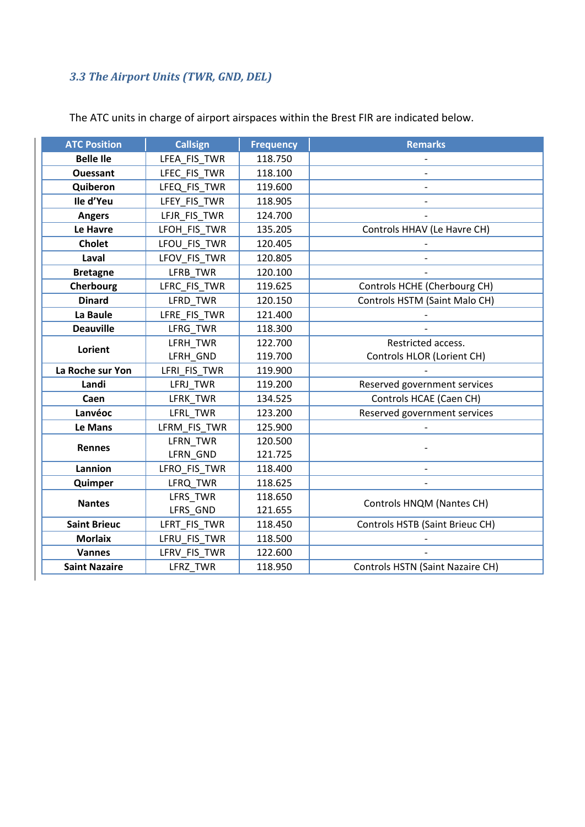# *3.3 The Airport Units (TWR, GND, DEL)*

| <b>ATC Position</b>  | <b>Callsign</b> | <b>Frequency</b> | <b>Remarks</b>                   |
|----------------------|-----------------|------------------|----------------------------------|
| <b>Belle Ile</b>     | LFEA FIS TWR    | 118.750          |                                  |
| <b>Ouessant</b>      | LFEC_FIS_TWR    | 118.100          |                                  |
| Quiberon             | LFEQ_FIS_TWR    | 119.600          |                                  |
| Ile d'Yeu            | LFEY FIS TWR    | 118.905          |                                  |
| <b>Angers</b>        | LFJR FIS TWR    | 124.700          |                                  |
| Le Havre             | LFOH_FIS_TWR    | 135.205          | Controls HHAV (Le Havre CH)      |
| <b>Cholet</b>        | LFOU_FIS_TWR    | 120.405          |                                  |
| Laval                | LFOV_FIS_TWR    | 120.805          |                                  |
| <b>Bretagne</b>      | LFRB_TWR        | 120.100          |                                  |
| Cherbourg            | LFRC_FIS_TWR    | 119.625          | Controls HCHE (Cherbourg CH)     |
| <b>Dinard</b>        | LFRD_TWR        | 120.150          | Controls HSTM (Saint Malo CH)    |
| La Baule             | LFRE_FIS_TWR    | 121.400          |                                  |
| <b>Deauville</b>     | LFRG_TWR        | 118.300          |                                  |
| Lorient              | LFRH_TWR        | 122.700          | Restricted access.               |
|                      | LFRH_GND        | 119.700          | Controls HLOR (Lorient CH)       |
| La Roche sur Yon     | LFRI_FIS_TWR    | 119.900          |                                  |
| Landi                | LFRJ_TWR        | 119.200          | Reserved government services     |
| Caen                 | LFRK TWR        | 134.525          | Controls HCAE (Caen CH)          |
| Lanvéoc              | LFRL_TWR        | 123.200          | Reserved government services     |
| Le Mans              | LFRM_FIS_TWR    | 125.900          |                                  |
| <b>Rennes</b>        | LFRN_TWR        | 120.500          |                                  |
|                      | LFRN_GND        | 121.725          |                                  |
| Lannion              | LFRO_FIS_TWR    | 118.400          | $\overline{\phantom{a}}$         |
| Quimper              | LFRQ TWR        | 118.625          |                                  |
| <b>Nantes</b>        | LFRS_TWR        | 118.650          | Controls HNQM (Nantes CH)        |
|                      | LFRS_GND        | 121.655          |                                  |
| <b>Saint Brieuc</b>  | LFRT_FIS_TWR    | 118.450          | Controls HSTB (Saint Brieuc CH)  |
| <b>Morlaix</b>       | LFRU_FIS_TWR    | 118.500          |                                  |
| <b>Vannes</b>        | LFRV_FIS_TWR    | 122.600          |                                  |
| <b>Saint Nazaire</b> | LFRZ_TWR        | 118.950          | Controls HSTN (Saint Nazaire CH) |

The ATC units in charge of airport airspaces within the Brest FIR are indicated below.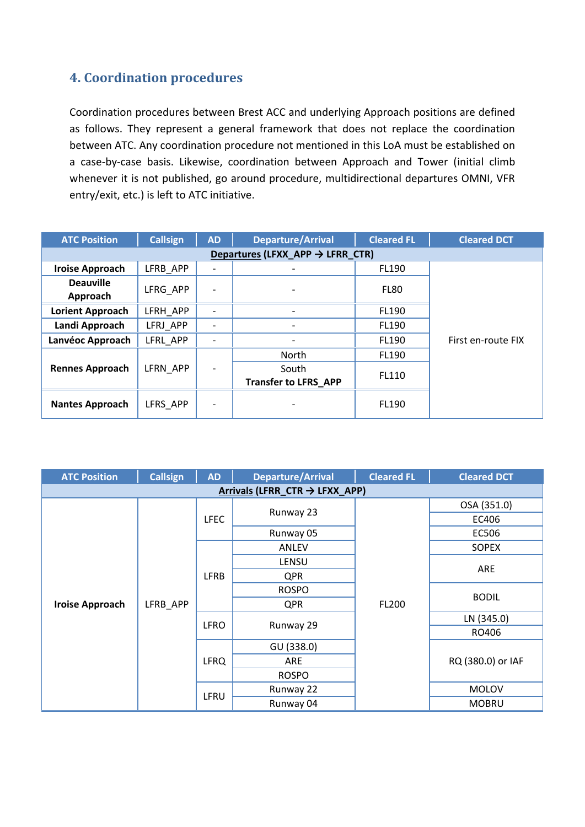## **4. Coordination procedures**

Coordination procedures between Brest ACC and underlying Approach positions are defined as follows. They represent a general framework that does not replace the coordination between ATC. Any coordination procedure not mentioned in this LoA must be established on a case-by-case basis. Likewise, coordination between Approach and Tower (initial climb whenever it is not published, go around procedure, multidirectional departures OMNI, VFR entry/exit, etc.) is left to ATC initiative.

| <b>ATC Position</b>                          | <b>Callsign</b> | <b>AD</b> | <b>Departure/Arrival</b>             | <b>Cleared FL</b> | <b>Cleared DCT</b> |  |  |  |
|----------------------------------------------|-----------------|-----------|--------------------------------------|-------------------|--------------------|--|--|--|
| Departures (LFXX_APP $\rightarrow$ LFRR_CTR) |                 |           |                                      |                   |                    |  |  |  |
| <b>Iroise Approach</b>                       | LFRB APP        |           |                                      | FL190             |                    |  |  |  |
| <b>Deauville</b><br>Approach                 | LFRG APP        |           |                                      | FL80              |                    |  |  |  |
| <b>Lorient Approach</b>                      | LFRH APP        |           |                                      | FL190             |                    |  |  |  |
| Landi Approach                               | LFRJ APP        |           |                                      | FL190             |                    |  |  |  |
| Lanvéoc Approach                             | LFRL APP        |           |                                      | FL190             | First en-route FIX |  |  |  |
|                                              |                 |           | North                                | FL190             |                    |  |  |  |
| <b>Rennes Approach</b>                       | LFRN APP        |           | South<br><b>Transfer to LFRS APP</b> | FL110             |                    |  |  |  |
| <b>Nantes Approach</b>                       | LFRS APP        |           |                                      | FL190             |                    |  |  |  |

| <b>ATC Position</b>                        | <b>Callsign</b> | <b>AD</b>   | <b>Departure/Arrival</b> | <b>Cleared FL</b> | <b>Cleared DCT</b> |  |  |  |
|--------------------------------------------|-----------------|-------------|--------------------------|-------------------|--------------------|--|--|--|
| Arrivals (LFRR_CTR $\rightarrow$ LFXX_APP) |                 |             |                          |                   |                    |  |  |  |
|                                            |                 | <b>LFEC</b> |                          |                   | OSA (351.0)        |  |  |  |
|                                            |                 |             | Runway 23                |                   | EC406              |  |  |  |
|                                            |                 |             | Runway 05                |                   | EC506              |  |  |  |
|                                            |                 |             | <b>ANLEV</b>             |                   | <b>SOPEX</b>       |  |  |  |
|                                            |                 |             | <b>LENSU</b>             | <b>FL200</b>      |                    |  |  |  |
|                                            | LFRB_APP        | <b>LFRB</b> | <b>QPR</b>               |                   | ARE                |  |  |  |
|                                            |                 |             | <b>ROSPO</b>             |                   | <b>BODIL</b>       |  |  |  |
| <b>Iroise Approach</b>                     |                 |             | <b>QPR</b>               |                   |                    |  |  |  |
|                                            |                 | <b>LFRO</b> | Runway 29                |                   | LN (345.0)         |  |  |  |
|                                            |                 |             |                          |                   | RO406              |  |  |  |
|                                            |                 | <b>LFRQ</b> | GU (338.0)               |                   |                    |  |  |  |
|                                            |                 |             | ARE                      |                   | RQ (380.0) or IAF  |  |  |  |
|                                            |                 |             | <b>ROSPO</b>             |                   |                    |  |  |  |
|                                            |                 | LFRU        | Runway 22                |                   | <b>MOLOV</b>       |  |  |  |
|                                            |                 |             | Runway 04                |                   | <b>MOBRU</b>       |  |  |  |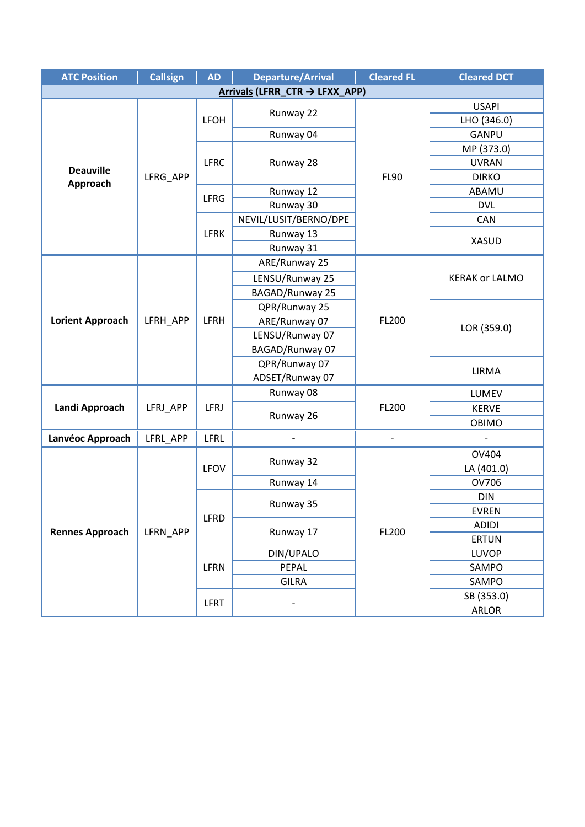| <b>ATC Position</b>            | <b>Callsign</b> | <b>AD</b>   | <b>Departure/Arrival</b> | <b>Cleared FL</b>        | <b>Cleared DCT</b>    |  |  |  |
|--------------------------------|-----------------|-------------|--------------------------|--------------------------|-----------------------|--|--|--|
| Arrivals (LFRR_CTR → LFXX_APP) |                 |             |                          |                          |                       |  |  |  |
|                                |                 | <b>LFOH</b> | Runway 22                |                          | <b>USAPI</b>          |  |  |  |
|                                |                 |             |                          |                          | LHO (346.0)           |  |  |  |
|                                |                 |             | Runway 04                |                          | GANPU                 |  |  |  |
|                                |                 |             |                          |                          | MP (373.0)            |  |  |  |
| <b>Deauville</b>               |                 | <b>LFRC</b> | Runway 28                |                          | <b>UVRAN</b>          |  |  |  |
| Approach                       | LFRG APP        |             |                          | <b>FL90</b>              | <b>DIRKO</b>          |  |  |  |
|                                |                 | <b>LFRG</b> | Runway 12                |                          | ABAMU                 |  |  |  |
|                                |                 |             | Runway 30                |                          | <b>DVL</b>            |  |  |  |
|                                |                 |             | NEVIL/LUSIT/BERNO/DPE    |                          | CAN                   |  |  |  |
|                                |                 | <b>LFRK</b> | Runway 13                |                          | <b>XASUD</b>          |  |  |  |
|                                |                 |             | Runway 31                |                          |                       |  |  |  |
|                                |                 |             | ARE/Runway 25            |                          |                       |  |  |  |
|                                |                 |             | LENSU/Runway 25          |                          | <b>KERAK or LALMO</b> |  |  |  |
|                                |                 |             | <b>BAGAD/Runway 25</b>   |                          |                       |  |  |  |
|                                |                 |             | QPR/Runway 25            |                          | LOR (359.0)           |  |  |  |
| <b>Lorient Approach</b>        | LFRH APP        | <b>LFRH</b> | ARE/Runway 07            | FL200                    |                       |  |  |  |
|                                |                 |             | LENSU/Runway 07          |                          |                       |  |  |  |
|                                |                 |             | BAGAD/Runway 07          |                          |                       |  |  |  |
|                                |                 |             | QPR/Runway 07            |                          | LIRMA                 |  |  |  |
|                                |                 |             | ADSET/Runway 07          |                          |                       |  |  |  |
|                                |                 |             | Runway 08                |                          | LUMEV                 |  |  |  |
| Landi Approach                 | LFRJ_APP        | <b>LFRJ</b> | Runway 26                | FL200                    | <b>KERVE</b>          |  |  |  |
|                                |                 |             |                          |                          | <b>OBIMO</b>          |  |  |  |
| Lanvéoc Approach               | LFRL_APP        | LFRL        |                          | $\overline{\phantom{a}}$ |                       |  |  |  |
|                                |                 |             |                          |                          | <b>OV404</b>          |  |  |  |
|                                |                 | LFOV        | Runway 32                |                          | LA (401.0)            |  |  |  |
|                                |                 |             | Runway 14                |                          | OV706                 |  |  |  |
|                                |                 |             |                          |                          | <b>DIN</b>            |  |  |  |
|                                |                 |             | Runway 35                |                          | EVREN                 |  |  |  |
|                                |                 | LFRD        |                          |                          | <b>ADIDI</b>          |  |  |  |
| <b>Rennes Approach</b>         | LFRN_APP        |             | Runway 17                | FL200                    | <b>ERTUN</b>          |  |  |  |
|                                |                 | LFRN        | DIN/UPALO                |                          | <b>LUVOP</b>          |  |  |  |
|                                |                 |             | PEPAL                    |                          | SAMPO                 |  |  |  |
|                                |                 |             | <b>GILRA</b>             |                          | SAMPO                 |  |  |  |
|                                |                 | <b>LFRT</b> |                          |                          | SB (353.0)            |  |  |  |
|                                |                 |             |                          |                          | ARLOR                 |  |  |  |